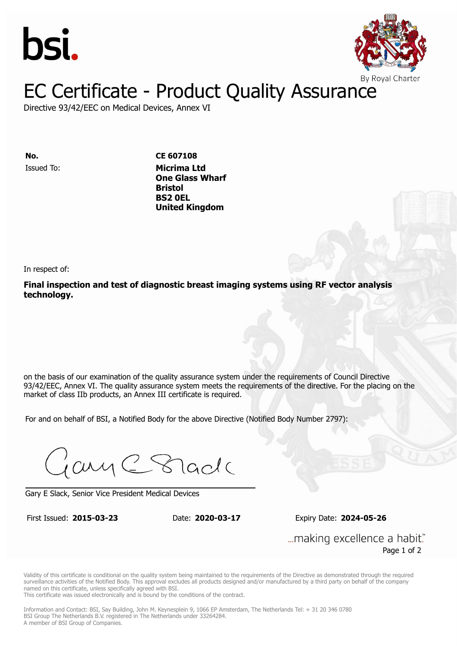



# EC Certificate - Product Quality Assurance

Directive 93/42/EEC on Medical Devices, Annex VI

Issued To: **Micrima Ltd No. CE 607108 One Glass Whatford Wharf Bristol** Issued To: **Micrima Ltd One Glass Wharf United Kingdom Bristol BS2 0EL United Kingdom**

In respect of:

**Final inspection and test of diagnostic breast imaging systems using RF vector analysis technology.**

on the basis of our examination of the quality assurance system under the requirements of Council Directive 93/42/EEC, Annex VI. The quality assurance system meets the requirements of the directive. For the placing on the market of class IIb products, an Annex III certificate is required.

For and on behalf of BSI, a Notified Body for the above Directive (Notified Body Number 2797):

Gary C Stade

Gary E Slack, Senior Vice President Medical Devices

First Issued: **2015-03-23** Date: **2020-03-17** Expiry Date: **2024-05-26**

First Issued: **2015-03-23** Date: **2020-03-17** Expiry Date: **2024-05-26**

... making excellence a habit." Page 1 of 2

Validity of this certificate is conditional on the quality system being maintained to the requirements of the Directive as demonstrated through the required surveillance activities of the Notified Body. This approval excludes all products designed and/or manufactured by a third party on behalf of the company named on this certificate, unless specifically agreed with BSI.

This certificate was issued electronically and is bound by the conditions of the contract.

Information and Contact: BSI, Say Building, John M. Keynesplein 9, 1066 EP Amsterdam, The Netherlands Tel: + 31 20 346 0780 BSI Group The Netherlands B.V. registered in The Netherlands under 33264284. A member of BSI Group of Companies.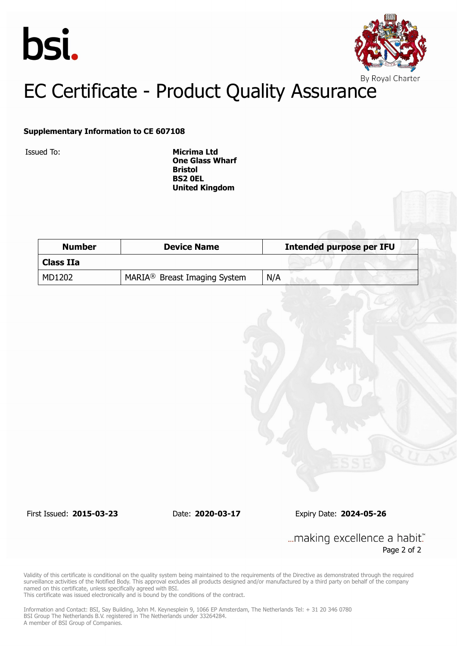



# EC Certificate - Product Quality Assurance

### **Supplementary Information to CE 607108**

Issued To: **Micrima Ltd One Glass Wharf Bristol BS2 0EL United Kingdom**

| <b>Number</b>    | <b>Device Name</b>                       | <b>Intended purpose per IFU</b> |  |
|------------------|------------------------------------------|---------------------------------|--|
| <b>Class IIa</b> |                                          |                                 |  |
| MD1202           | MARIA <sup>®</sup> Breast Imaging System | N/A                             |  |

First Issued: **2015-03-23** Date: **2020-03-17** Expiry Date: **2024-05-26**

... making excellence a habit." Page 2 of 2

Validity of this certificate is conditional on the quality system being maintained to the requirements of the Directive as demonstrated through the required surveillance activities of the Notified Body. This approval excludes all products designed and/or manufactured by a third party on behalf of the company named on this certificate, unless specifically agreed with BSI.

This certificate was issued electronically and is bound by the conditions of the contract.

Information and Contact: BSI, Say Building, John M. Keynesplein 9, 1066 EP Amsterdam, The Netherlands Tel: + 31 20 346 0780 BSI Group The Netherlands B.V. registered in The Netherlands under 33264284. A member of BSI Group of Companies.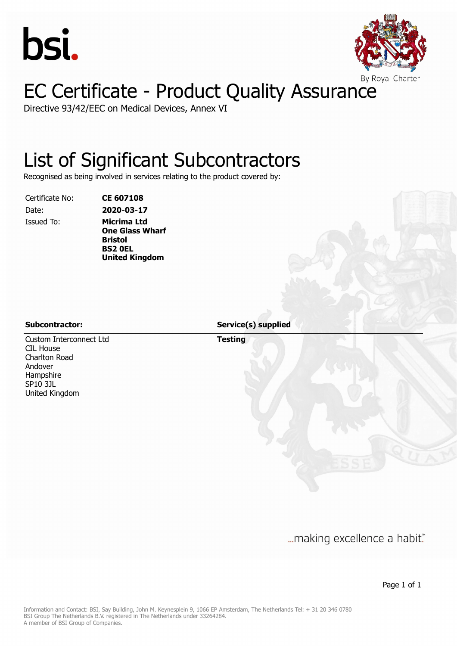



# EC Certificate - Product Quality Assurance

Directive 93/42/EEC on Medical Devices, Annex VI

## List of Significant Subcontractors

Recognised as being involved in services relating to the product covered by:

Certificate No: **CE 607108**

Date: **2020-03-17** Issued To: **Micrima Ltd One Glass Wharf Bristol BS2 0EL United Kingdom**

Custom Interconnect Ltd CIL House Charlton Road Andover Hampshire SP10 3JL United Kingdom

**Subcontractor: Service(s) supplied**

**Testing**

... making excellence a habit."

Page 1 of 1